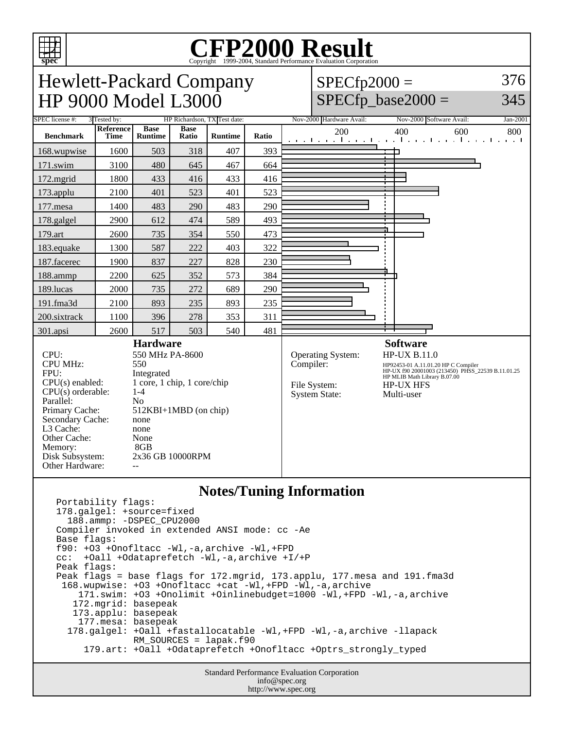

# Copyright ©1999-2004, Standard Performance Evaluation Corporation

Hewlett-Packard Company  $SPECfp2000 =$ HP 9000 Model L3000  $SPECfp\_base2000 =$ SPEC license #: 3 Tested by: HP Richardson, TX Test date: Nov-2000 Hardware Avail: Nov-2000 Software Avail: Jan-2001 **Base Reference Base Ratio Runtime Ratio** 200 400 600 800 **Benchmark Runtime Time** 168.wupwise 1600 503 318 407 393 ┑ 171.swim | 3100 | 480 | 645 | 467 | 664 172.mgrid | 1800 | 433 | 416 | 433 | 416 173.applu | 2100 | 401 | 523 | 401 | 523 177.mesa | 1400 | 483 | 290 | 483 | 290 178.galgel | 2900 | 612 | 474 | 589 | 493 179.art | 2600 | 735 | 354 | 550 | 473 183.equake 1300 587 222 403 322 187.facerec | 1900 | 837 | 227 | 828 | 230 188.ammp | 2200 | 625 | 352 | 573 | 384 189.lucas | 2000 | 735 | 272 | 689 | 290 191.fma3d 2100 893 235 893 235 200.sixtrack 1100 396 278 353 311 301.apsi | 2600 | 517 | 503 | 540 | 481 **Hardware Software** CPU: 550 MHz PA-8600 Operating System: HP-UX B.11.0<br>Compiler: HP92453-01 A.11.01.20

CPU MHz: FPU: Integrated  $CPU(s)$  enabled:  $1$  core, 1 chip, 1 core/chip<br>CPU(s) orderable:  $1-4$  $CPU(s)$  orderable: Parallel: No<br>Primary Cache: 512 Secondary Cache: none L3 Cache: none Other Cache: None Memory: 8GB Disk Subsystem: 2x36 GB 10000RPM Other Hardware:

512KBI+1MBD (on chip) System State:

HP92453-01 A.11.01.20 HP C Compiler HP-UX f90 20001003 (213450) PHSS\_22539 B.11.01.25 HP MLIB Math Library B.07.00 File System: HP-UX HFS<br>System State: Multi-user

376

345

#### **Notes/Tuning Information**

Portability flags: 178.galgel: +source=fixed 188.ammp: -DSPEC\_CPU2000 Compiler invoked in extended ANSI mode: cc -Ae Base flags: f90: +O3 +Onofltacc -Wl,-a,archive -Wl,+FPD cc: +Oall +Odataprefetch -Wl,-a,archive +I/+P Peak flags: Peak flags = base flags for 172.mgrid, 173.applu, 177.mesa and 191.fma3d 168.wupwise: +O3 +Onofltacc +cat -Wl,+FPD -Wl,-a,archive 171.swim: +O3 +Onolimit +Oinlinebudget=1000 -Wl,+FPD -Wl,-a,archive 172.mgrid: basepeak 173.applu: basepeak 177.mesa: basepeak 178.galgel: +Oall +fastallocatable -Wl,+FPD -Wl,-a,archive -llapack RM\_SOURCES = lapak.f90 179.art: +Oall +Odataprefetch +Onofltacc +Optrs\_strongly\_typed

> Standard Performance Evaluation Corporation info@spec.org http://www.spec.org